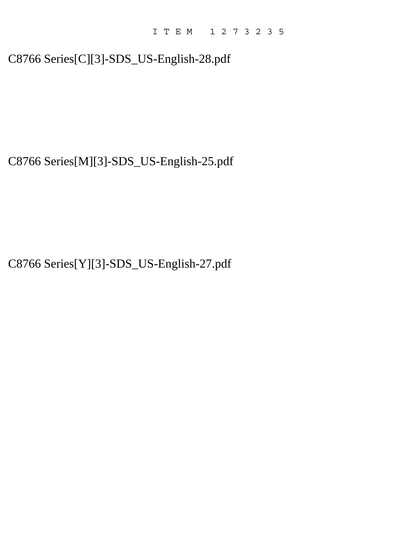# C8766 Series[C][3]-SDS\_US-English-28.pdf

C8766 Series[M][3]-SDS\_US-English-25.pdf

C8766 Series[Y][3]-SDS\_US-English-27.pdf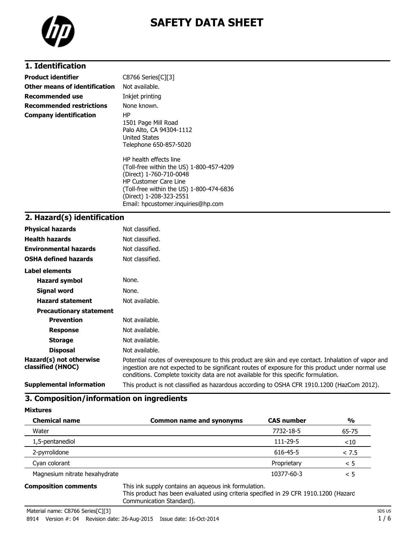

# **SAFETY DATA SHEET**

# **1. Identification**

| <b>Product identifier</b>       | C8766 Series[C][3]                                                                                                                                                                                                                         |
|---------------------------------|--------------------------------------------------------------------------------------------------------------------------------------------------------------------------------------------------------------------------------------------|
| Other means of identification   | Not available.                                                                                                                                                                                                                             |
| Recommended use                 | Inkjet printing                                                                                                                                                                                                                            |
| <b>Recommended restrictions</b> | None known.                                                                                                                                                                                                                                |
| <b>Company identification</b>   | HP.<br>1501 Page Mill Road<br>Palo Alto, CA 94304-1112<br><b>United States</b><br>Telephone 650-857-5020                                                                                                                                   |
|                                 | HP health effects line<br>(Toll-free within the US) 1-800-457-4209<br>(Direct) 1-760-710-0048<br><b>HP Customer Care Line</b><br>(Toll-free within the US) 1-800-474-6836<br>(Direct) 1-208-323-2551<br>Email: hpcustomer.inguiries@hp.com |

#### **2. Hazard(s) identification**

| <b>Physical hazards</b>                      | Not classified.                                                                                                                                                                                                                                                                                |
|----------------------------------------------|------------------------------------------------------------------------------------------------------------------------------------------------------------------------------------------------------------------------------------------------------------------------------------------------|
| <b>Health hazards</b>                        | Not classified.                                                                                                                                                                                                                                                                                |
| <b>Environmental hazards</b>                 | Not classified.                                                                                                                                                                                                                                                                                |
| <b>OSHA defined hazards</b>                  | Not classified.                                                                                                                                                                                                                                                                                |
| Label elements                               |                                                                                                                                                                                                                                                                                                |
| <b>Hazard symbol</b>                         | None.                                                                                                                                                                                                                                                                                          |
| Signal word                                  | None.                                                                                                                                                                                                                                                                                          |
| <b>Hazard statement</b>                      | Not available.                                                                                                                                                                                                                                                                                 |
| <b>Precautionary statement</b>               |                                                                                                                                                                                                                                                                                                |
| <b>Prevention</b>                            | Not available.                                                                                                                                                                                                                                                                                 |
| <b>Response</b>                              | Not available.                                                                                                                                                                                                                                                                                 |
| <b>Storage</b>                               | Not available.                                                                                                                                                                                                                                                                                 |
| <b>Disposal</b>                              | Not available.                                                                                                                                                                                                                                                                                 |
| Hazard(s) not otherwise<br>classified (HNOC) | Potential routes of overexposure to this product are skin and eye contact. Inhalation of vapor and<br>ingestion are not expected to be significant routes of exposure for this product under normal use<br>conditions. Complete toxicity data are not available for this specific formulation. |
| <b>Supplemental information</b>              | This product is not classified as hazardous according to OSHA CFR 1910.1200 (HazCom 2012).                                                                                                                                                                                                     |

#### **3. Composition/information on ingredients**

| <b>Mixtures</b>               |                                 |                   |        |
|-------------------------------|---------------------------------|-------------------|--------|
| <b>Chemical name</b>          | <b>Common name and synonyms</b> | <b>CAS number</b> | %      |
| Water                         |                                 | 7732-18-5         | 65-75  |
| 1,5-pentanediol               |                                 | 111-29-5          | $<$ 10 |
| 2-pyrrolidone                 |                                 | 616-45-5          | < 7.5  |
| Cyan colorant                 |                                 | Proprietary       | < 5    |
| Magnesium nitrate hexahydrate |                                 | 10377-60-3        | < 5    |

**Composition comments** This ink supply contains an aqueous ink formulation. This product has been evaluated using criteria specified in 29 CFR 1910.1200 (Hazard Communication Standard).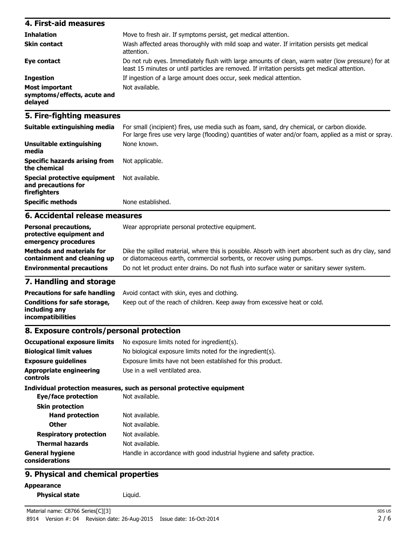| 4. First-aid measures                                    |                                                                                                                                                                                                    |
|----------------------------------------------------------|----------------------------------------------------------------------------------------------------------------------------------------------------------------------------------------------------|
| <b>Inhalation</b>                                        | Move to fresh air. If symptoms persist, get medical attention.                                                                                                                                     |
| <b>Skin contact</b>                                      | Wash affected areas thoroughly with mild soap and water. If irritation persists get medical<br>attention.                                                                                          |
| Eye contact                                              | Do not rub eyes. Immediately flush with large amounts of clean, warm water (low pressure) for at<br>least 15 minutes or until particles are removed. If irritation persists get medical attention. |
| <b>Ingestion</b>                                         | If ingestion of a large amount does occur, seek medical attention.                                                                                                                                 |
| Most important<br>symptoms/effects, acute and<br>delayed | Not available.                                                                                                                                                                                     |

### **5. Fire-fighting measures**

| Suitable extinguishing media                                        | For small (incipient) fires, use media such as foam, sand, dry chemical, or carbon dioxide.<br>For large fires use very large (flooding) quantities of water and/or foam, applied as a mist or spray. |
|---------------------------------------------------------------------|-------------------------------------------------------------------------------------------------------------------------------------------------------------------------------------------------------|
| Unsuitable extinguishing<br>media                                   | None known.                                                                                                                                                                                           |
| Specific hazards arising from<br>the chemical                       | Not applicable.                                                                                                                                                                                       |
| Special protective equipment<br>and precautions for<br>firefighters | Not available.                                                                                                                                                                                        |
| <b>Specific methods</b>                                             | None established.                                                                                                                                                                                     |

### **6. Accidental release measures**

| or diatomaceous earth, commercial sorbents, or recover using pumps.<br>containment and cleaning up | <b>Personal precautions,</b><br>protective equipment and<br>emergency procedures<br><b>Methods and materials for</b> | Wear appropriate personal protective equipment.<br>Dike the spilled material, where this is possible. Absorb with inert absorbent such as dry clay, sand |
|----------------------------------------------------------------------------------------------------|----------------------------------------------------------------------------------------------------------------------|----------------------------------------------------------------------------------------------------------------------------------------------------------|
|                                                                                                    |                                                                                                                      |                                                                                                                                                          |
|                                                                                                    | <b>Environmental precautions</b>                                                                                     | Do not let product enter drains. Do not flush into surface water or sanitary sewer system.                                                               |

#### **7. Handling and storage**

| <b>Precautions for safe handling</b>                               | Avoid contact with skin, eyes and clothing.                               |
|--------------------------------------------------------------------|---------------------------------------------------------------------------|
| Conditions for safe storage,<br>including anv<br>incompatibilities | Keep out of the reach of children. Keep away from excessive heat or cold. |

# **8. Exposure controls/personal protection**

| <b>Occupational exposure limits</b>               | No exposure limits noted for ingredient(s).                            |  |  |
|---------------------------------------------------|------------------------------------------------------------------------|--|--|
| <b>Biological limit values</b>                    | No biological exposure limits noted for the ingredient(s).             |  |  |
| <b>Exposure guidelines</b>                        | Exposure limits have not been established for this product.            |  |  |
| <b>Appropriate engineering</b><br><b>controls</b> | Use in a well ventilated area.                                         |  |  |
|                                                   | Individual protection measures, such as personal protective equipment  |  |  |
| Eye/face protection                               | Not available.                                                         |  |  |
| <b>Skin protection</b>                            |                                                                        |  |  |
| <b>Hand protection</b>                            | Not available.                                                         |  |  |
| <b>Other</b>                                      | Not available.                                                         |  |  |
| <b>Respiratory protection</b>                     | Not available.                                                         |  |  |
| <b>Thermal hazards</b>                            | Not available.                                                         |  |  |
| <b>General hygiene</b><br>considerations          | Handle in accordance with good industrial hygiene and safety practice. |  |  |

### **9. Physical and chemical properties**

**Appearance**

```
Physical state Liquid.
```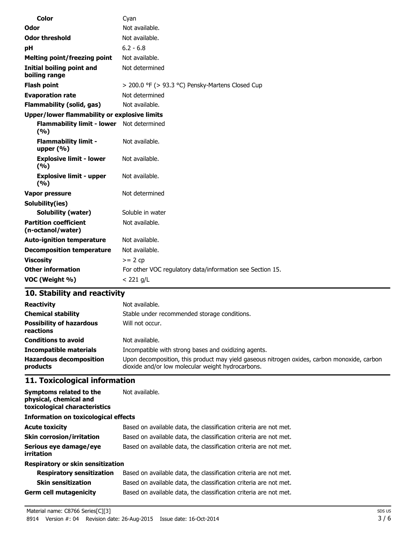| <b>Color</b>                                       | Cyan                                                      |
|----------------------------------------------------|-----------------------------------------------------------|
| Odor                                               | Not available.                                            |
| <b>Odor threshold</b>                              | Not available.                                            |
| рH                                                 | $6.2 - 6.8$                                               |
| <b>Melting point/freezing point</b>                | Not available.                                            |
| <b>Initial boiling point and</b><br>boiling range  | Not determined                                            |
| <b>Flash point</b>                                 | > 200.0 °F (> 93.3 °C) Pensky-Martens Closed Cup          |
| <b>Evaporation rate</b>                            | Not determined                                            |
| <b>Flammability (solid, gas)</b>                   | Not available.                                            |
| Upper/lower flammability or explosive limits       |                                                           |
| Flammability limit - lower Not determined<br>(9/6) |                                                           |
| <b>Flammability limit -</b><br>upper $(\% )$       | Not available.                                            |
| <b>Explosive limit - lower</b><br>(%)              | Not available.                                            |
| <b>Explosive limit - upper</b><br>(9/6)            | Not available.                                            |
| Vapor pressure                                     | Not determined                                            |
| Solubility(ies)                                    |                                                           |
| <b>Solubility (water)</b>                          | Soluble in water                                          |
| <b>Partition coefficient</b><br>(n-octanol/water)  | Not available.                                            |
| <b>Auto-ignition temperature</b>                   | Not available.                                            |
| <b>Decomposition temperature</b>                   | Not available.                                            |
| <b>Viscosity</b>                                   | $>= 2 cp$                                                 |
| <b>Other information</b>                           | For other VOC regulatory data/information see Section 15. |
| VOC (Weight %)                                     | $<$ 221 g/L                                               |

# **10. Stability and reactivity**

| <b>Reactivity</b>                            | Not available.                                                                                                                                   |  |
|----------------------------------------------|--------------------------------------------------------------------------------------------------------------------------------------------------|--|
| <b>Chemical stability</b>                    | Stable under recommended storage conditions.                                                                                                     |  |
| <b>Possibility of hazardous</b><br>reactions | Will not occur.                                                                                                                                  |  |
| <b>Conditions to avoid</b>                   | Not available.                                                                                                                                   |  |
| <b>Incompatible materials</b>                | Incompatible with strong bases and oxidizing agents.                                                                                             |  |
| <b>Hazardous decomposition</b><br>products   | Upon decomposition, this product may yield gaseous nitrogen oxides, carbon monoxide, carbon<br>dioxide and/or low molecular weight hydrocarbons. |  |

# **11. Toxicological information**

| Symptoms related to the<br>physical, chemical and<br>toxicological characteristics | Not available.                                                    |
|------------------------------------------------------------------------------------|-------------------------------------------------------------------|
| Information on toxicological effects                                               |                                                                   |
| <b>Acute toxicity</b>                                                              | Based on available data, the classification criteria are not met. |
| <b>Skin corrosion/irritation</b>                                                   | Based on available data, the classification criteria are not met. |
| Serious eye damage/eye<br>irritation                                               | Based on available data, the classification criteria are not met. |
| Respiratory or skin sensitization                                                  |                                                                   |
| <b>Respiratory sensitization</b>                                                   | Based on available data, the classification criteria are not met. |
| <b>Skin sensitization</b>                                                          | Based on available data, the classification criteria are not met. |
| Germ cell mutagenicity                                                             | Based on available data, the classification criteria are not met. |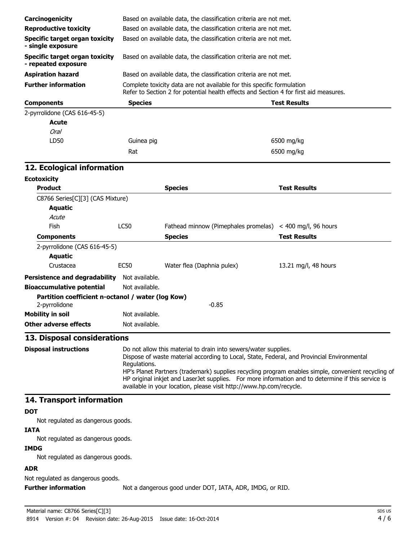| Carcinogenicity                                                    |                                                                                                                                                                                                                                                                                                                                                                                                                                                                   | Based on available data, the classification criteria are not met.                     |                        |  |
|--------------------------------------------------------------------|-------------------------------------------------------------------------------------------------------------------------------------------------------------------------------------------------------------------------------------------------------------------------------------------------------------------------------------------------------------------------------------------------------------------------------------------------------------------|---------------------------------------------------------------------------------------|------------------------|--|
| <b>Reproductive toxicity</b>                                       |                                                                                                                                                                                                                                                                                                                                                                                                                                                                   | Based on available data, the classification criteria are not met.                     |                        |  |
| <b>Specific target organ toxicity</b><br>- single exposure         | Based on available data, the classification criteria are not met.                                                                                                                                                                                                                                                                                                                                                                                                 |                                                                                       |                        |  |
| <b>Specific target organ toxicity</b><br>- repeated exposure       |                                                                                                                                                                                                                                                                                                                                                                                                                                                                   | Based on available data, the classification criteria are not met.                     |                        |  |
| <b>Aspiration hazard</b>                                           |                                                                                                                                                                                                                                                                                                                                                                                                                                                                   | Based on available data, the classification criteria are not met.                     |                        |  |
| <b>Further information</b>                                         |                                                                                                                                                                                                                                                                                                                                                                                                                                                                   | Complete toxicity data are not available for this specific formulation                |                        |  |
|                                                                    |                                                                                                                                                                                                                                                                                                                                                                                                                                                                   | Refer to Section 2 for potential health effects and Section 4 for first aid measures. |                        |  |
| <b>Components</b>                                                  | <b>Species</b>                                                                                                                                                                                                                                                                                                                                                                                                                                                    |                                                                                       | <b>Test Results</b>    |  |
| 2-pyrrolidone (CAS 616-45-5)                                       |                                                                                                                                                                                                                                                                                                                                                                                                                                                                   |                                                                                       |                        |  |
| <b>Acute</b>                                                       |                                                                                                                                                                                                                                                                                                                                                                                                                                                                   |                                                                                       |                        |  |
| <b>Oral</b>                                                        |                                                                                                                                                                                                                                                                                                                                                                                                                                                                   |                                                                                       |                        |  |
| LD50                                                               | Guinea pig                                                                                                                                                                                                                                                                                                                                                                                                                                                        |                                                                                       | 6500 mg/kg             |  |
|                                                                    | Rat                                                                                                                                                                                                                                                                                                                                                                                                                                                               |                                                                                       | 6500 mg/kg             |  |
| 12. Ecological information                                         |                                                                                                                                                                                                                                                                                                                                                                                                                                                                   |                                                                                       |                        |  |
| <b>Ecotoxicity</b>                                                 |                                                                                                                                                                                                                                                                                                                                                                                                                                                                   |                                                                                       |                        |  |
| <b>Product</b>                                                     |                                                                                                                                                                                                                                                                                                                                                                                                                                                                   | <b>Species</b>                                                                        | <b>Test Results</b>    |  |
| C8766 Series[C][3] (CAS Mixture)                                   |                                                                                                                                                                                                                                                                                                                                                                                                                                                                   |                                                                                       |                        |  |
| <b>Aquatic</b>                                                     |                                                                                                                                                                                                                                                                                                                                                                                                                                                                   |                                                                                       |                        |  |
| Acute                                                              |                                                                                                                                                                                                                                                                                                                                                                                                                                                                   |                                                                                       |                        |  |
| Fish                                                               | <b>LC50</b>                                                                                                                                                                                                                                                                                                                                                                                                                                                       | Fathead minnow (Pimephales promelas)                                                  | $<$ 400 mg/l, 96 hours |  |
| <b>Components</b>                                                  |                                                                                                                                                                                                                                                                                                                                                                                                                                                                   | <b>Species</b>                                                                        | <b>Test Results</b>    |  |
| 2-pyrrolidone (CAS 616-45-5)                                       |                                                                                                                                                                                                                                                                                                                                                                                                                                                                   |                                                                                       |                        |  |
| <b>Aquatic</b>                                                     |                                                                                                                                                                                                                                                                                                                                                                                                                                                                   |                                                                                       |                        |  |
| Crustacea                                                          | <b>EC50</b>                                                                                                                                                                                                                                                                                                                                                                                                                                                       | Water flea (Daphnia pulex)                                                            | 13.21 mg/l, 48 hours   |  |
| <b>Persistence and degradability</b>                               | Not available.                                                                                                                                                                                                                                                                                                                                                                                                                                                    |                                                                                       |                        |  |
| <b>Bioaccumulative potential</b>                                   | Not available.                                                                                                                                                                                                                                                                                                                                                                                                                                                    |                                                                                       |                        |  |
| Partition coefficient n-octanol / water (log Kow)<br>2-pyrrolidone |                                                                                                                                                                                                                                                                                                                                                                                                                                                                   | $-0.85$                                                                               |                        |  |
| <b>Mobility in soil</b>                                            | Not available.                                                                                                                                                                                                                                                                                                                                                                                                                                                    |                                                                                       |                        |  |
| <b>Other adverse effects</b>                                       | Not available.                                                                                                                                                                                                                                                                                                                                                                                                                                                    |                                                                                       |                        |  |
| 13. Disposal considerations                                        |                                                                                                                                                                                                                                                                                                                                                                                                                                                                   |                                                                                       |                        |  |
| <b>Disposal instructions</b>                                       | Do not allow this material to drain into sewers/water supplies.<br>Dispose of waste material according to Local, State, Federal, and Provincial Environmental<br>Regulations.<br>HP's Planet Partners (trademark) supplies recycling program enables simple, convenient recycling of<br>HP original inkjet and LaserJet supplies. For more information and to determine if this service is<br>available in your location, please visit http://www.hp.com/recycle. |                                                                                       |                        |  |
| 14. Transport information                                          |                                                                                                                                                                                                                                                                                                                                                                                                                                                                   |                                                                                       |                        |  |
| <b>DOT</b>                                                         |                                                                                                                                                                                                                                                                                                                                                                                                                                                                   |                                                                                       |                        |  |
| Not regulated as dangerous goods.                                  |                                                                                                                                                                                                                                                                                                                                                                                                                                                                   |                                                                                       |                        |  |
| <b>IATA</b>                                                        |                                                                                                                                                                                                                                                                                                                                                                                                                                                                   |                                                                                       |                        |  |
| Not regulated as dangerous goods.                                  |                                                                                                                                                                                                                                                                                                                                                                                                                                                                   |                                                                                       |                        |  |
| <b>IMDG</b>                                                        |                                                                                                                                                                                                                                                                                                                                                                                                                                                                   |                                                                                       |                        |  |
| Not regulated as dangerous goods.                                  |                                                                                                                                                                                                                                                                                                                                                                                                                                                                   |                                                                                       |                        |  |
| <b>ADR</b>                                                         |                                                                                                                                                                                                                                                                                                                                                                                                                                                                   |                                                                                       |                        |  |

Not regulated as dangerous goods.

**Further information** Not a dangerous good under DOT, IATA, ADR, IMDG, or RID.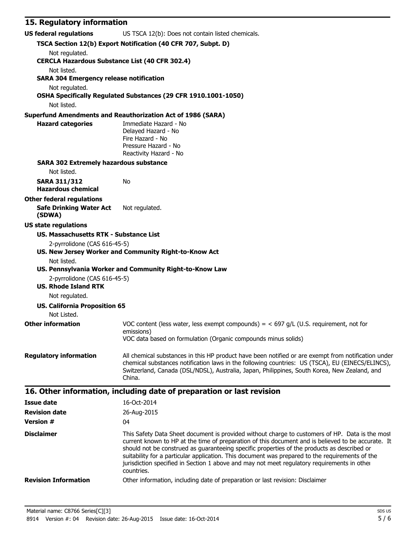# **15. Regulatory information**

| <b>US federal regulations</b>                                                | US TSCA 12(b): Does not contain listed chemicals.                                                                                                                                                                                                                                                                                                                                                                                                                                                                    |
|------------------------------------------------------------------------------|----------------------------------------------------------------------------------------------------------------------------------------------------------------------------------------------------------------------------------------------------------------------------------------------------------------------------------------------------------------------------------------------------------------------------------------------------------------------------------------------------------------------|
|                                                                              | TSCA Section 12(b) Export Notification (40 CFR 707, Subpt. D)                                                                                                                                                                                                                                                                                                                                                                                                                                                        |
| Not regulated.<br><b>CERCLA Hazardous Substance List (40 CFR 302.4)</b>      |                                                                                                                                                                                                                                                                                                                                                                                                                                                                                                                      |
| Not listed.<br><b>SARA 304 Emergency release notification</b>                |                                                                                                                                                                                                                                                                                                                                                                                                                                                                                                                      |
| Not regulated.                                                               | OSHA Specifically Regulated Substances (29 CFR 1910.1001-1050)                                                                                                                                                                                                                                                                                                                                                                                                                                                       |
| Not listed.                                                                  |                                                                                                                                                                                                                                                                                                                                                                                                                                                                                                                      |
|                                                                              | <b>Superfund Amendments and Reauthorization Act of 1986 (SARA)</b>                                                                                                                                                                                                                                                                                                                                                                                                                                                   |
| <b>Hazard categories</b>                                                     | Immediate Hazard - No<br>Delayed Hazard - No<br>Fire Hazard - No<br>Pressure Hazard - No<br>Reactivity Hazard - No                                                                                                                                                                                                                                                                                                                                                                                                   |
| <b>SARA 302 Extremely hazardous substance</b>                                |                                                                                                                                                                                                                                                                                                                                                                                                                                                                                                                      |
| Not listed.                                                                  |                                                                                                                                                                                                                                                                                                                                                                                                                                                                                                                      |
| <b>SARA 311/312</b><br><b>Hazardous chemical</b>                             | No                                                                                                                                                                                                                                                                                                                                                                                                                                                                                                                   |
| <b>Other federal regulations</b><br><b>Safe Drinking Water Act</b><br>(SDWA) | Not regulated.                                                                                                                                                                                                                                                                                                                                                                                                                                                                                                       |
| <b>US state regulations</b>                                                  |                                                                                                                                                                                                                                                                                                                                                                                                                                                                                                                      |
| <b>US. Massachusetts RTK - Substance List</b>                                |                                                                                                                                                                                                                                                                                                                                                                                                                                                                                                                      |
| 2-pyrrolidone (CAS 616-45-5)<br>Not listed.                                  | US. New Jersey Worker and Community Right-to-Know Act                                                                                                                                                                                                                                                                                                                                                                                                                                                                |
| 2-pyrrolidone (CAS 616-45-5)<br><b>US. Rhode Island RTK</b>                  | US. Pennsylvania Worker and Community Right-to-Know Law                                                                                                                                                                                                                                                                                                                                                                                                                                                              |
| Not regulated.                                                               |                                                                                                                                                                                                                                                                                                                                                                                                                                                                                                                      |
| <b>US. California Proposition 65</b>                                         |                                                                                                                                                                                                                                                                                                                                                                                                                                                                                                                      |
| Not Listed.                                                                  |                                                                                                                                                                                                                                                                                                                                                                                                                                                                                                                      |
| <b>Other information</b>                                                     | VOC content (less water, less exempt compounds) = $<$ 697 g/L (U.S. requirement, not for<br>emissions)                                                                                                                                                                                                                                                                                                                                                                                                               |
|                                                                              | VOC data based on formulation (Organic compounds minus solids)                                                                                                                                                                                                                                                                                                                                                                                                                                                       |
| <b>Regulatory information</b>                                                | All chemical substances in this HP product have been notified or are exempt from notification under<br>chemical substances notification laws in the following countries: US (TSCA), EU (EINECS/ELINCS),<br>Switzerland, Canada (DSL/NDSL), Australia, Japan, Philippines, South Korea, New Zealand, and<br>China.                                                                                                                                                                                                    |
|                                                                              | 16. Other information, including date of preparation or last revision                                                                                                                                                                                                                                                                                                                                                                                                                                                |
| <b>Issue date</b>                                                            | 16-Oct-2014                                                                                                                                                                                                                                                                                                                                                                                                                                                                                                          |
| <b>Revision date</b>                                                         | 26-Aug-2015                                                                                                                                                                                                                                                                                                                                                                                                                                                                                                          |
| <b>Version #</b>                                                             | 04                                                                                                                                                                                                                                                                                                                                                                                                                                                                                                                   |
| <b>Disclaimer</b>                                                            | This Safety Data Sheet document is provided without charge to customers of HP. Data is the most<br>current known to HP at the time of preparation of this document and is believed to be accurate. It<br>should not be construed as guaranteeing specific properties of the products as described or<br>suitability for a particular application. This document was prepared to the requirements of the<br>jurisdiction specified in Section 1 above and may not meet regulatory requirements in other<br>countries. |
| <b>Revision Information</b>                                                  | Other information, including date of preparation or last revision: Disclaimer                                                                                                                                                                                                                                                                                                                                                                                                                                        |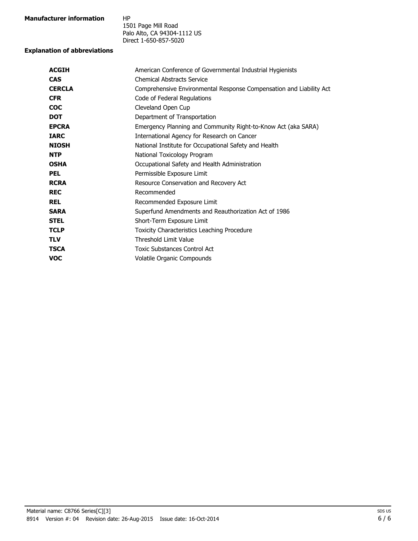| Manufacturer information | HP |
|--------------------------|----|
|                          |    |

1501 Page Mill Road Palo Alto, CA 94304-1112 US Direct 1-650-857-5020

#### **Explanation of abbreviations**

| <b>ACGIH</b>  | American Conference of Governmental Industrial Hygienists           |
|---------------|---------------------------------------------------------------------|
| <b>CAS</b>    | <b>Chemical Abstracts Service</b>                                   |
| <b>CERCLA</b> | Comprehensive Environmental Response Compensation and Liability Act |
| <b>CFR</b>    | Code of Federal Regulations                                         |
| <b>COC</b>    | Cleveland Open Cup                                                  |
| <b>DOT</b>    | Department of Transportation                                        |
| <b>EPCRA</b>  | Emergency Planning and Community Right-to-Know Act (aka SARA)       |
| <b>TARC</b>   | International Agency for Research on Cancer                         |
| <b>NIOSH</b>  | National Institute for Occupational Safety and Health               |
| <b>NTP</b>    | National Toxicology Program                                         |
| <b>OSHA</b>   | Occupational Safety and Health Administration                       |
| <b>PEL</b>    | Permissible Exposure Limit                                          |
| <b>RCRA</b>   | Resource Conservation and Recovery Act                              |
| <b>REC</b>    | Recommended                                                         |
| <b>REL</b>    | Recommended Exposure Limit                                          |
| <b>SARA</b>   | Superfund Amendments and Reauthorization Act of 1986                |
| <b>STEL</b>   | Short-Term Exposure Limit                                           |
| <b>TCLP</b>   | Toxicity Characteristics Leaching Procedure                         |
| <b>TLV</b>    | <b>Threshold Limit Value</b>                                        |
| <b>TSCA</b>   | Toxic Substances Control Act                                        |
| <b>VOC</b>    | Volatile Organic Compounds                                          |
|               |                                                                     |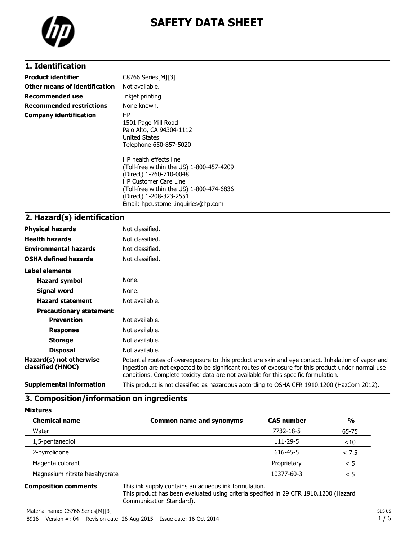

# **SAFETY DATA SHEET**

# **1. Identification**

| <b>Product identifier</b>       | C8766 Series[M][3]                                                                                                                                                                                                                         |
|---------------------------------|--------------------------------------------------------------------------------------------------------------------------------------------------------------------------------------------------------------------------------------------|
| Other means of identification   | Not available.                                                                                                                                                                                                                             |
| Recommended use                 | Inkjet printing                                                                                                                                                                                                                            |
| <b>Recommended restrictions</b> | None known.                                                                                                                                                                                                                                |
| <b>Company identification</b>   | ΗP<br>1501 Page Mill Road<br>Palo Alto, CA 94304-1112<br>United States<br>Telephone 650-857-5020                                                                                                                                           |
|                                 | HP health effects line<br>(Toll-free within the US) 1-800-457-4209<br>(Direct) 1-760-710-0048<br><b>HP Customer Care Line</b><br>(Toll-free within the US) 1-800-474-6836<br>(Direct) 1-208-323-2551<br>Email: hpcustomer.inguiries@hp.com |

#### **2. Hazard(s) identification**

| <b>Physical hazards</b>                      | Not classified.                                                                                                                                                                                                                                                                                |
|----------------------------------------------|------------------------------------------------------------------------------------------------------------------------------------------------------------------------------------------------------------------------------------------------------------------------------------------------|
| <b>Health hazards</b>                        | Not classified.                                                                                                                                                                                                                                                                                |
| <b>Environmental hazards</b>                 | Not classified.                                                                                                                                                                                                                                                                                |
| <b>OSHA defined hazards</b>                  | Not classified.                                                                                                                                                                                                                                                                                |
| Label elements                               |                                                                                                                                                                                                                                                                                                |
| Hazard symbol                                | None.                                                                                                                                                                                                                                                                                          |
| Signal word                                  | None.                                                                                                                                                                                                                                                                                          |
| <b>Hazard statement</b>                      | Not available.                                                                                                                                                                                                                                                                                 |
| <b>Precautionary statement</b>               |                                                                                                                                                                                                                                                                                                |
| <b>Prevention</b>                            | Not available.                                                                                                                                                                                                                                                                                 |
| <b>Response</b>                              | Not available.                                                                                                                                                                                                                                                                                 |
| <b>Storage</b>                               | Not available.                                                                                                                                                                                                                                                                                 |
| <b>Disposal</b>                              | Not available.                                                                                                                                                                                                                                                                                 |
| Hazard(s) not otherwise<br>classified (HNOC) | Potential routes of overexposure to this product are skin and eye contact. Inhalation of vapor and<br>ingestion are not expected to be significant routes of exposure for this product under normal use<br>conditions. Complete toxicity data are not available for this specific formulation. |
| <b>Supplemental information</b>              | This product is not classified as hazardous according to OSHA CFR 1910.1200 (HazCom 2012).                                                                                                                                                                                                     |

#### **3. Composition/information on ingredients**

| <b>Mixtures</b> |  |
|-----------------|--|
| Chamical n:     |  |

| <b>Chemical name</b>          | <b>Common name and synonyms</b> | <b>CAS number</b> | $\frac{0}{0}$ |
|-------------------------------|---------------------------------|-------------------|---------------|
| Water                         |                                 | 7732-18-5         | 65-75         |
| 1,5-pentanediol               |                                 | 111-29-5          | ~10           |
| 2-pyrrolidone                 |                                 | 616-45-5          | < 7.5         |
| Magenta colorant              |                                 | Proprietary       | < 5           |
| Magnesium nitrate hexahydrate |                                 | 10377-60-3        | < 5           |

**Composition comments** This ink supply contains an aqueous ink formulation. This product has been evaluated using criteria specified in 29 CFR 1910.1200 (Hazard Communication Standard).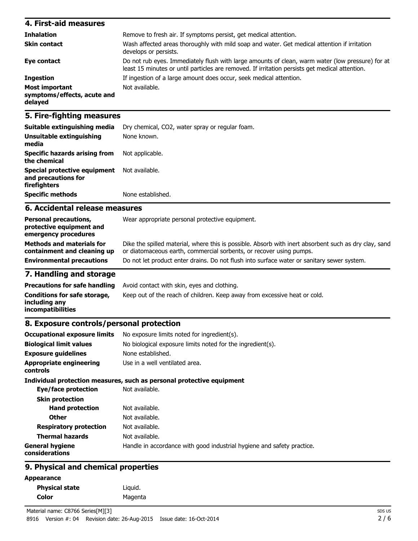| 4. First-aid measures                                    |                                                                                                                                                                                                    |
|----------------------------------------------------------|----------------------------------------------------------------------------------------------------------------------------------------------------------------------------------------------------|
| <b>Inhalation</b>                                        | Remove to fresh air. If symptoms persist, get medical attention.                                                                                                                                   |
| <b>Skin contact</b>                                      | Wash affected areas thoroughly with mild soap and water. Get medical attention if irritation<br>develops or persists.                                                                              |
| Eye contact                                              | Do not rub eyes. Immediately flush with large amounts of clean, warm water (low pressure) for at<br>least 15 minutes or until particles are removed. If irritation persists get medical attention. |
| <b>Ingestion</b>                                         | If ingestion of a large amount does occur, seek medical attention.                                                                                                                                 |
| Most important<br>symptoms/effects, acute and<br>delayed | Not available.                                                                                                                                                                                     |

### **5. Fire-fighting measures**

| Suitable extinguishing media                                        | Dry chemical, CO2, water spray or regular foam. |
|---------------------------------------------------------------------|-------------------------------------------------|
| Unsuitable extinguishing<br>media                                   | None known.                                     |
| <b>Specific hazards arising from</b><br>the chemical                | Not applicable.                                 |
| Special protective equipment<br>and precautions for<br>firefighters | Not available.                                  |
| <b>Specific methods</b>                                             | None established.                               |

### **6. Accidental release measures**

| <b>Personal precautions,</b><br>protective equipment and<br>emergency procedures | Wear appropriate personal protective equipment.                                                                                                                              |
|----------------------------------------------------------------------------------|------------------------------------------------------------------------------------------------------------------------------------------------------------------------------|
| <b>Methods and materials for</b><br>containment and cleaning up                  | Dike the spilled material, where this is possible. Absorb with inert absorbent such as dry clay, sand<br>or diatomaceous earth, commercial sorbents, or recover using pumps. |
| <b>Environmental precautions</b>                                                 | Do not let product enter drains. Do not flush into surface water or sanitary sewer system.                                                                                   |

# **7. Handling and storage**

|                                                                    | <b>Precautions for safe handling</b> Avoid contact with skin, eyes and clothing. |
|--------------------------------------------------------------------|----------------------------------------------------------------------------------|
| Conditions for safe storage,<br>including any<br>incompatibilities | Keep out of the reach of children. Keep away from excessive heat or cold.        |

### **8. Exposure controls/personal protection**

| <b>Occupational exposure limits</b>        | No exposure limits noted for ingredient(s).                            |
|--------------------------------------------|------------------------------------------------------------------------|
| <b>Biological limit values</b>             | No biological exposure limits noted for the ingredient(s).             |
| <b>Exposure quidelines</b>                 | None established.                                                      |
| <b>Appropriate engineering</b><br>controls | Use in a well ventilated area.                                         |
|                                            | Individual protection measures, such as personal protective equipment  |
| Eye/face protection                        | Not available.                                                         |
| <b>Skin protection</b>                     |                                                                        |
| <b>Hand protection</b>                     | Not available.                                                         |
| <b>Other</b>                               | Not available.                                                         |
| <b>Respiratory protection</b>              | Not available.                                                         |
| <b>Thermal hazards</b>                     | Not available.                                                         |
| <b>General hygiene</b><br>considerations   | Handle in accordance with good industrial hygiene and safety practice. |
|                                            |                                                                        |

# **9. Physical and chemical properties**

#### **Appearance**

| <b>Physical state</b> | Liguid. |
|-----------------------|---------|
| Color                 | Magenta |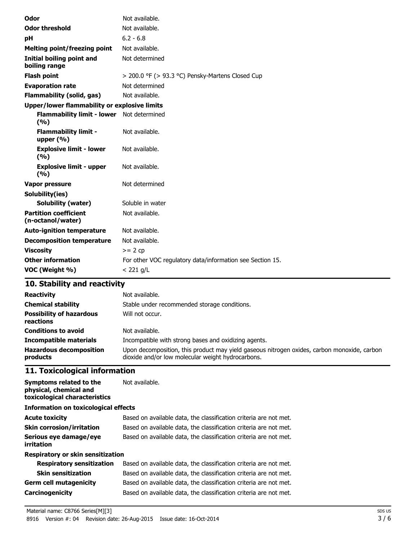| Odor                                               | Not available.                                            |  |
|----------------------------------------------------|-----------------------------------------------------------|--|
| <b>Odor threshold</b>                              | Not available.                                            |  |
| рH                                                 | $6.2 - 6.8$                                               |  |
| Melting point/freezing point                       | Not available.                                            |  |
| <b>Initial boiling point and</b><br>boiling range  | Not determined                                            |  |
| <b>Flash point</b>                                 | > 200.0 °F (> 93.3 °C) Pensky-Martens Closed Cup          |  |
| <b>Evaporation rate</b>                            | Not determined                                            |  |
| <b>Flammability (solid, gas)</b>                   | Not available.                                            |  |
| Upper/lower flammability or explosive limits       |                                                           |  |
| Flammability limit - lower Not determined<br>(9/6) |                                                           |  |
| <b>Flammability limit -</b><br>upper $(\% )$       | Not available.                                            |  |
| <b>Explosive limit - lower</b><br>(%)              | Not available.                                            |  |
| <b>Explosive limit - upper</b><br>(%)              | Not available.                                            |  |
| <b>Vapor pressure</b>                              | Not determined                                            |  |
| Solubility(ies)                                    |                                                           |  |
| <b>Solubility (water)</b>                          | Soluble in water                                          |  |
| <b>Partition coefficient</b><br>(n-octanol/water)  | Not available.                                            |  |
| <b>Auto-ignition temperature</b>                   | Not available.                                            |  |
| <b>Decomposition temperature</b>                   | Not available.                                            |  |
| <b>Viscosity</b>                                   | $>= 2 cp$                                                 |  |
| <b>Other information</b>                           | For other VOC regulatory data/information see Section 15. |  |
| VOC (Weight %)                                     | $<$ 221 g/L                                               |  |

# **10. Stability and reactivity**

| <b>Reactivity</b><br><b>Chemical stability</b><br><b>Possibility of hazardous</b><br>reactions | Not available.<br>Stable under recommended storage conditions.<br>Will not occur.           |
|------------------------------------------------------------------------------------------------|---------------------------------------------------------------------------------------------|
| <b>Conditions to avoid</b>                                                                     | Not available.                                                                              |
| <b>Incompatible materials</b>                                                                  | Incompatible with strong bases and oxidizing agents.                                        |
| <b>Hazardous decomposition</b>                                                                 | Upon decomposition, this product may yield gaseous nitrogen oxides, carbon monoxide, carbon |
| products                                                                                       | dioxide and/or low molecular weight hydrocarbons.                                           |

# **11. Toxicological information**

| Symptoms related to the<br>physical, chemical and<br>toxicological characteristics | Not available.                                                    |  |  |
|------------------------------------------------------------------------------------|-------------------------------------------------------------------|--|--|
| Information on toxicological effects                                               |                                                                   |  |  |
| <b>Acute toxicity</b>                                                              | Based on available data, the classification criteria are not met. |  |  |
| <b>Skin corrosion/irritation</b>                                                   | Based on available data, the classification criteria are not met. |  |  |
| Serious eye damage/eye<br>irritation                                               | Based on available data, the classification criteria are not met. |  |  |
| Respiratory or skin sensitization                                                  |                                                                   |  |  |
| <b>Respiratory sensitization</b>                                                   | Based on available data, the classification criteria are not met. |  |  |
| <b>Skin sensitization</b>                                                          | Based on available data, the classification criteria are not met. |  |  |
| <b>Germ cell mutagenicity</b>                                                      | Based on available data, the classification criteria are not met. |  |  |
| <b>Carcinogenicity</b>                                                             | Based on available data, the classification criteria are not met. |  |  |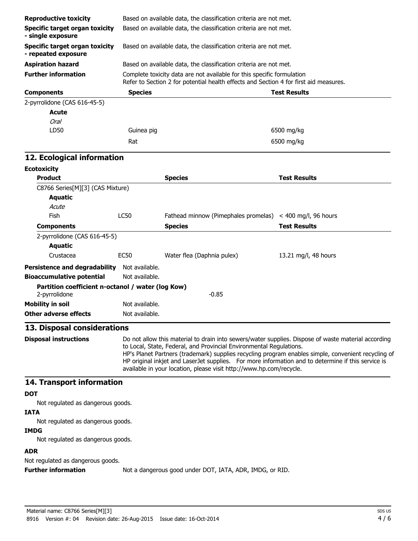| <b>Reproductive toxicity</b>                                       |                                                                                                                                                                                                                                                                                                                                                                                                                                                                | Based on available data, the classification criteria are not met.                                                                                               |                        |  |
|--------------------------------------------------------------------|----------------------------------------------------------------------------------------------------------------------------------------------------------------------------------------------------------------------------------------------------------------------------------------------------------------------------------------------------------------------------------------------------------------------------------------------------------------|-----------------------------------------------------------------------------------------------------------------------------------------------------------------|------------------------|--|
| <b>Specific target organ toxicity</b><br>- single exposure         |                                                                                                                                                                                                                                                                                                                                                                                                                                                                | Based on available data, the classification criteria are not met.<br>Based on available data, the classification criteria are not met.                          |                        |  |
| <b>Specific target organ toxicity</b><br>- repeated exposure       |                                                                                                                                                                                                                                                                                                                                                                                                                                                                |                                                                                                                                                                 |                        |  |
| <b>Aspiration hazard</b>                                           |                                                                                                                                                                                                                                                                                                                                                                                                                                                                | Based on available data, the classification criteria are not met.                                                                                               |                        |  |
| <b>Further information</b>                                         |                                                                                                                                                                                                                                                                                                                                                                                                                                                                | Complete toxicity data are not available for this specific formulation<br>Refer to Section 2 for potential health effects and Section 4 for first aid measures. |                        |  |
| <b>Components</b>                                                  | <b>Species</b>                                                                                                                                                                                                                                                                                                                                                                                                                                                 |                                                                                                                                                                 | <b>Test Results</b>    |  |
| 2-pyrrolidone (CAS 616-45-5)                                       |                                                                                                                                                                                                                                                                                                                                                                                                                                                                |                                                                                                                                                                 |                        |  |
| Acute                                                              |                                                                                                                                                                                                                                                                                                                                                                                                                                                                |                                                                                                                                                                 |                        |  |
| Oral                                                               |                                                                                                                                                                                                                                                                                                                                                                                                                                                                |                                                                                                                                                                 |                        |  |
| LD50                                                               | Guinea pig                                                                                                                                                                                                                                                                                                                                                                                                                                                     |                                                                                                                                                                 | 6500 mg/kg             |  |
|                                                                    | Rat                                                                                                                                                                                                                                                                                                                                                                                                                                                            |                                                                                                                                                                 | 6500 mg/kg             |  |
| 12. Ecological information                                         |                                                                                                                                                                                                                                                                                                                                                                                                                                                                |                                                                                                                                                                 |                        |  |
| <b>Ecotoxicity</b>                                                 |                                                                                                                                                                                                                                                                                                                                                                                                                                                                |                                                                                                                                                                 |                        |  |
| <b>Product</b>                                                     |                                                                                                                                                                                                                                                                                                                                                                                                                                                                | <b>Species</b>                                                                                                                                                  | <b>Test Results</b>    |  |
| C8766 Series[M][3] (CAS Mixture)                                   |                                                                                                                                                                                                                                                                                                                                                                                                                                                                |                                                                                                                                                                 |                        |  |
| <b>Aquatic</b>                                                     |                                                                                                                                                                                                                                                                                                                                                                                                                                                                |                                                                                                                                                                 |                        |  |
| Acute                                                              |                                                                                                                                                                                                                                                                                                                                                                                                                                                                |                                                                                                                                                                 |                        |  |
| Fish                                                               | LC50                                                                                                                                                                                                                                                                                                                                                                                                                                                           | Fathead minnow (Pimephales promelas)                                                                                                                            | $<$ 400 mg/l, 96 hours |  |
| <b>Components</b>                                                  |                                                                                                                                                                                                                                                                                                                                                                                                                                                                | <b>Species</b>                                                                                                                                                  | <b>Test Results</b>    |  |
| 2-pyrrolidone (CAS 616-45-5)                                       |                                                                                                                                                                                                                                                                                                                                                                                                                                                                |                                                                                                                                                                 |                        |  |
| <b>Aquatic</b>                                                     |                                                                                                                                                                                                                                                                                                                                                                                                                                                                |                                                                                                                                                                 |                        |  |
| Crustacea                                                          | <b>EC50</b>                                                                                                                                                                                                                                                                                                                                                                                                                                                    | Water flea (Daphnia pulex)                                                                                                                                      | 13.21 mg/l, 48 hours   |  |
| <b>Persistence and degradability</b>                               | Not available.                                                                                                                                                                                                                                                                                                                                                                                                                                                 |                                                                                                                                                                 |                        |  |
| <b>Bioaccumulative potential</b>                                   | Not available.                                                                                                                                                                                                                                                                                                                                                                                                                                                 |                                                                                                                                                                 |                        |  |
| Partition coefficient n-octanol / water (log Kow)<br>2-pyrrolidone |                                                                                                                                                                                                                                                                                                                                                                                                                                                                | $-0.85$                                                                                                                                                         |                        |  |
| <b>Mobility in soil</b>                                            | Not available.                                                                                                                                                                                                                                                                                                                                                                                                                                                 |                                                                                                                                                                 |                        |  |
| <b>Other adverse effects</b>                                       | Not available.                                                                                                                                                                                                                                                                                                                                                                                                                                                 |                                                                                                                                                                 |                        |  |
|                                                                    |                                                                                                                                                                                                                                                                                                                                                                                                                                                                |                                                                                                                                                                 |                        |  |
| 13. Disposal considerations                                        |                                                                                                                                                                                                                                                                                                                                                                                                                                                                |                                                                                                                                                                 |                        |  |
| <b>Disposal instructions</b>                                       | Do not allow this material to drain into sewers/water supplies. Dispose of waste material according<br>to Local, State, Federal, and Provincial Environmental Regulations.<br>HP's Planet Partners (trademark) supplies recycling program enables simple, convenient recycling of<br>HP original inkjet and LaserJet supplies. For more information and to determine if this service is<br>available in your location, please visit http://www.hp.com/recycle. |                                                                                                                                                                 |                        |  |
| 14. Transport information                                          |                                                                                                                                                                                                                                                                                                                                                                                                                                                                |                                                                                                                                                                 |                        |  |
| <b>DOT</b>                                                         |                                                                                                                                                                                                                                                                                                                                                                                                                                                                |                                                                                                                                                                 |                        |  |
| Not regulated as dangerous goods.                                  |                                                                                                                                                                                                                                                                                                                                                                                                                                                                |                                                                                                                                                                 |                        |  |
| <b>IATA</b>                                                        |                                                                                                                                                                                                                                                                                                                                                                                                                                                                |                                                                                                                                                                 |                        |  |
| Not regulated as dangerous goods.                                  |                                                                                                                                                                                                                                                                                                                                                                                                                                                                |                                                                                                                                                                 |                        |  |
| <b>IMDG</b>                                                        |                                                                                                                                                                                                                                                                                                                                                                                                                                                                |                                                                                                                                                                 |                        |  |
| Not regulated as dangerous goods.                                  |                                                                                                                                                                                                                                                                                                                                                                                                                                                                |                                                                                                                                                                 |                        |  |

# **ADR**

Not regulated as dangerous goods.

**Further information** Not a dangerous good under DOT, IATA, ADR, IMDG, or RID.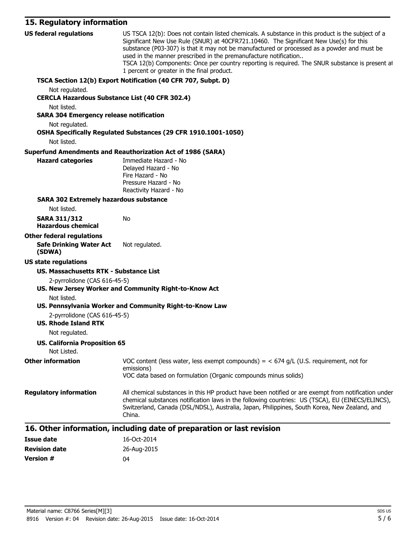# **15. Regulatory information**

| <b>US federal regulations</b>                               | US TSCA 12(b): Does not contain listed chemicals. A substance in this product is the subject of a<br>Significant New Use Rule (SNUR) at 40CFR721.10460. The Significant New Use(s) for this<br>substance (P03-307) is that it may not be manufactured or processed as a powder and must be<br>used in the manner prescribed in the premanufacture notification<br>TSCA 12(b) Components: Once per country reporting is required. The SNUR substance is present at<br>1 percent or greater in the final product. |
|-------------------------------------------------------------|-----------------------------------------------------------------------------------------------------------------------------------------------------------------------------------------------------------------------------------------------------------------------------------------------------------------------------------------------------------------------------------------------------------------------------------------------------------------------------------------------------------------|
|                                                             | TSCA Section 12(b) Export Notification (40 CFR 707, Subpt. D)                                                                                                                                                                                                                                                                                                                                                                                                                                                   |
| Not regulated.                                              |                                                                                                                                                                                                                                                                                                                                                                                                                                                                                                                 |
| <b>CERCLA Hazardous Substance List (40 CFR 302.4)</b>       |                                                                                                                                                                                                                                                                                                                                                                                                                                                                                                                 |
| Not listed.                                                 |                                                                                                                                                                                                                                                                                                                                                                                                                                                                                                                 |
| <b>SARA 304 Emergency release notification</b>              |                                                                                                                                                                                                                                                                                                                                                                                                                                                                                                                 |
| Not regulated.                                              |                                                                                                                                                                                                                                                                                                                                                                                                                                                                                                                 |
|                                                             | OSHA Specifically Regulated Substances (29 CFR 1910.1001-1050)                                                                                                                                                                                                                                                                                                                                                                                                                                                  |
| Not listed.                                                 |                                                                                                                                                                                                                                                                                                                                                                                                                                                                                                                 |
|                                                             | <b>Superfund Amendments and Reauthorization Act of 1986 (SARA)</b>                                                                                                                                                                                                                                                                                                                                                                                                                                              |
| <b>Hazard categories</b>                                    | Immediate Hazard - No<br>Delayed Hazard - No                                                                                                                                                                                                                                                                                                                                                                                                                                                                    |
|                                                             | Fire Hazard - No                                                                                                                                                                                                                                                                                                                                                                                                                                                                                                |
|                                                             | Pressure Hazard - No                                                                                                                                                                                                                                                                                                                                                                                                                                                                                            |
|                                                             | Reactivity Hazard - No                                                                                                                                                                                                                                                                                                                                                                                                                                                                                          |
| <b>SARA 302 Extremely hazardous substance</b>               |                                                                                                                                                                                                                                                                                                                                                                                                                                                                                                                 |
| Not listed.                                                 |                                                                                                                                                                                                                                                                                                                                                                                                                                                                                                                 |
| <b>SARA 311/312</b><br><b>Hazardous chemical</b>            | No                                                                                                                                                                                                                                                                                                                                                                                                                                                                                                              |
| <b>Other federal regulations</b>                            |                                                                                                                                                                                                                                                                                                                                                                                                                                                                                                                 |
| <b>Safe Drinking Water Act</b><br>(SDWA)                    | Not regulated.                                                                                                                                                                                                                                                                                                                                                                                                                                                                                                  |
| <b>US state regulations</b>                                 |                                                                                                                                                                                                                                                                                                                                                                                                                                                                                                                 |
| US. Massachusetts RTK - Substance List                      |                                                                                                                                                                                                                                                                                                                                                                                                                                                                                                                 |
| 2-pyrrolidone (CAS 616-45-5)                                | US. New Jersey Worker and Community Right-to-Know Act                                                                                                                                                                                                                                                                                                                                                                                                                                                           |
| Not listed.                                                 |                                                                                                                                                                                                                                                                                                                                                                                                                                                                                                                 |
|                                                             | US. Pennsylvania Worker and Community Right-to-Know Law                                                                                                                                                                                                                                                                                                                                                                                                                                                         |
| 2-pyrrolidone (CAS 616-45-5)<br><b>US. Rhode Island RTK</b> |                                                                                                                                                                                                                                                                                                                                                                                                                                                                                                                 |
| Not regulated.                                              |                                                                                                                                                                                                                                                                                                                                                                                                                                                                                                                 |
| <b>US. California Proposition 65</b><br>Not Listed.         |                                                                                                                                                                                                                                                                                                                                                                                                                                                                                                                 |
| <b>Other information</b>                                    | VOC content (less water, less exempt compounds) = $<$ 674 g/L (U.S. requirement, not for<br>emissions)                                                                                                                                                                                                                                                                                                                                                                                                          |
|                                                             | VOC data based on formulation (Organic compounds minus solids)                                                                                                                                                                                                                                                                                                                                                                                                                                                  |
| <b>Regulatory information</b>                               | All chemical substances in this HP product have been notified or are exempt from notification under<br>chemical substances notification laws in the following countries: US (TSCA), EU (EINECS/ELINCS),<br>Switzerland, Canada (DSL/NDSL), Australia, Japan, Philippines, South Korea, New Zealand, and<br>China.                                                                                                                                                                                               |
|                                                             | 16. Other information, including date of preparation or last revision                                                                                                                                                                                                                                                                                                                                                                                                                                           |
| <b>Issue date</b>                                           | 16-Oct-2014                                                                                                                                                                                                                                                                                                                                                                                                                                                                                                     |
| <b>Dovision data</b>                                        | $26$ Aug $2015$                                                                                                                                                                                                                                                                                                                                                                                                                                                                                                 |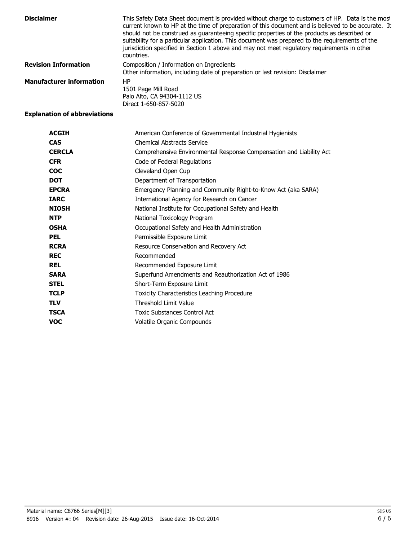| <b>Disclaimer</b>               | This Safety Data Sheet document is provided without charge to customers of HP. Data is the most<br>current known to HP at the time of preparation of this document and is believed to be accurate. It<br>should not be construed as quaranteeing specific properties of the products as described or<br>suitability for a particular application. This document was prepared to the requirements of the<br>jurisdiction specified in Section 1 above and may not meet regulatory requirements in other<br>countries. |
|---------------------------------|----------------------------------------------------------------------------------------------------------------------------------------------------------------------------------------------------------------------------------------------------------------------------------------------------------------------------------------------------------------------------------------------------------------------------------------------------------------------------------------------------------------------|
| <b>Revision Information</b>     | Composition / Information on Ingredients<br>Other information, including date of preparation or last revision: Disclaimer                                                                                                                                                                                                                                                                                                                                                                                            |
| <b>Manufacturer information</b> | HP<br>1501 Page Mill Road<br>Palo Alto, CA 94304-1112 US<br>Direct 1-650-857-5020                                                                                                                                                                                                                                                                                                                                                                                                                                    |

#### **Explanation of abbreviations**

| <b>ACGIH</b>  | American Conference of Governmental Industrial Hygienists           |
|---------------|---------------------------------------------------------------------|
| <b>CAS</b>    | <b>Chemical Abstracts Service</b>                                   |
| <b>CERCLA</b> | Comprehensive Environmental Response Compensation and Liability Act |
| <b>CFR</b>    | Code of Federal Regulations                                         |
| <b>COC</b>    | Cleveland Open Cup                                                  |
| <b>DOT</b>    | Department of Transportation                                        |
| <b>EPCRA</b>  | Emergency Planning and Community Right-to-Know Act (aka SARA)       |
| <b>IARC</b>   | International Agency for Research on Cancer                         |
| <b>NIOSH</b>  | National Institute for Occupational Safety and Health               |
| <b>NTP</b>    | National Toxicology Program                                         |
| <b>OSHA</b>   | Occupational Safety and Health Administration                       |
| <b>PEL</b>    | Permissible Exposure Limit                                          |
| <b>RCRA</b>   | Resource Conservation and Recovery Act                              |
| <b>REC</b>    | Recommended                                                         |
| <b>REL</b>    | Recommended Exposure Limit                                          |
| <b>SARA</b>   | Superfund Amendments and Reauthorization Act of 1986                |
| <b>STEL</b>   | Short-Term Exposure Limit                                           |
| <b>TCLP</b>   | Toxicity Characteristics Leaching Procedure                         |
| <b>TLV</b>    | <b>Threshold Limit Value</b>                                        |
| <b>TSCA</b>   | <b>Toxic Substances Control Act</b>                                 |
| <b>VOC</b>    | Volatile Organic Compounds                                          |
|               |                                                                     |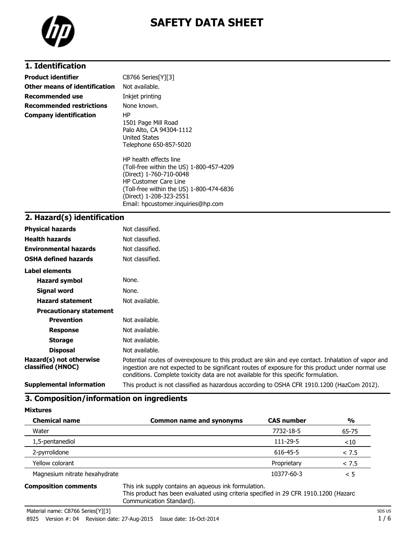

# **SAFETY DATA SHEET**

# **1. Identification**

| <b>Product identifier</b>       | $C8766$ Series $[Y][3]$                                                                                                                                                                                                                    |
|---------------------------------|--------------------------------------------------------------------------------------------------------------------------------------------------------------------------------------------------------------------------------------------|
| Other means of identification   | Not available.                                                                                                                                                                                                                             |
| Recommended use                 | Inkjet printing                                                                                                                                                                                                                            |
| <b>Recommended restrictions</b> | None known.                                                                                                                                                                                                                                |
| <b>Company identification</b>   | HP.<br>1501 Page Mill Road<br>Palo Alto, CA 94304-1112<br>United States<br>Telephone 650-857-5020                                                                                                                                          |
|                                 | HP health effects line<br>(Toll-free within the US) 1-800-457-4209<br>(Direct) 1-760-710-0048<br><b>HP Customer Care Line</b><br>(Toll-free within the US) 1-800-474-6836<br>(Direct) 1-208-323-2551<br>Email: hpcustomer.inguiries@hp.com |

# **2. Hazard(s) identification**

| <b>Physical hazards</b>                      | Not classified.                                                                                                                                                                                                                                                                                |
|----------------------------------------------|------------------------------------------------------------------------------------------------------------------------------------------------------------------------------------------------------------------------------------------------------------------------------------------------|
| <b>Health hazards</b>                        | Not classified.                                                                                                                                                                                                                                                                                |
| <b>Environmental hazards</b>                 | Not classified.                                                                                                                                                                                                                                                                                |
| <b>OSHA defined hazards</b>                  | Not classified.                                                                                                                                                                                                                                                                                |
| Label elements                               |                                                                                                                                                                                                                                                                                                |
| <b>Hazard symbol</b>                         | None.                                                                                                                                                                                                                                                                                          |
| Signal word                                  | None.                                                                                                                                                                                                                                                                                          |
| <b>Hazard statement</b>                      | Not available.                                                                                                                                                                                                                                                                                 |
| <b>Precautionary statement</b>               |                                                                                                                                                                                                                                                                                                |
| <b>Prevention</b>                            | Not available.                                                                                                                                                                                                                                                                                 |
| <b>Response</b>                              | Not available.                                                                                                                                                                                                                                                                                 |
| <b>Storage</b>                               | Not available.                                                                                                                                                                                                                                                                                 |
| <b>Disposal</b>                              | Not available.                                                                                                                                                                                                                                                                                 |
| Hazard(s) not otherwise<br>classified (HNOC) | Potential routes of overexposure to this product are skin and eye contact. Inhalation of vapor and<br>ingestion are not expected to be significant routes of exposure for this product under normal use<br>conditions. Complete toxicity data are not available for this specific formulation. |
| <b>Supplemental information</b>              | This product is not classified as hazardous according to OSHA CFR 1910.1200 (HazCom 2012).                                                                                                                                                                                                     |

#### **3. Composition/information on ingredients**

| <b>Chemical name</b>          | <b>Common name and synonyms</b> | <b>CAS number</b> | $\frac{0}{0}$ |
|-------------------------------|---------------------------------|-------------------|---------------|
| Water                         |                                 | 7732-18-5         | 65-75         |
| 1,5-pentanediol               |                                 | 111-29-5          | $<$ 10        |
| 2-pyrrolidone                 |                                 | 616-45-5          | < 7.5         |
| Yellow colorant               |                                 | Proprietary       | < 7.5         |
| Magnesium nitrate hexahydrate |                                 | 10377-60-3        | < 5           |

**Composition comments** This ink supply contains an aqueous ink formulation. This product has been evaluated using criteria specified in 29 CFR 1910.1200 (Hazard Communication Standard).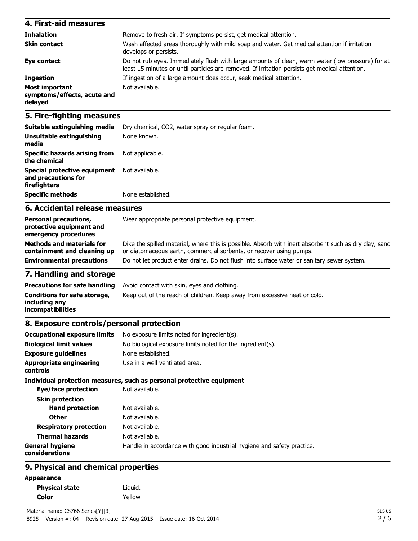| 4. First-aid measures                                    |                                                                                                                                                                                                    |
|----------------------------------------------------------|----------------------------------------------------------------------------------------------------------------------------------------------------------------------------------------------------|
| <b>Inhalation</b>                                        | Remove to fresh air. If symptoms persist, get medical attention.                                                                                                                                   |
| <b>Skin contact</b>                                      | Wash affected areas thoroughly with mild soap and water. Get medical attention if irritation<br>develops or persists.                                                                              |
| Eye contact                                              | Do not rub eyes. Immediately flush with large amounts of clean, warm water (low pressure) for at<br>least 15 minutes or until particles are removed. If irritation persists get medical attention. |
| <b>Ingestion</b>                                         | If ingestion of a large amount does occur, seek medical attention.                                                                                                                                 |
| Most important<br>symptoms/effects, acute and<br>delayed | Not available.                                                                                                                                                                                     |

### **5. Fire-fighting measures**

| Suitable extinguishing media                                        | Dry chemical, CO2, water spray or regular foam. |
|---------------------------------------------------------------------|-------------------------------------------------|
| Unsuitable extinguishing<br>media                                   | None known.                                     |
| <b>Specific hazards arising from</b><br>the chemical                | Not applicable.                                 |
| Special protective equipment<br>and precautions for<br>firefighters | Not available.                                  |
| <b>Specific methods</b>                                             | None established.                               |

### **6. Accidental release measures**

| <b>Personal precautions,</b><br>protective equipment and<br>emergency procedures | Wear appropriate personal protective equipment.                                                                                                                              |
|----------------------------------------------------------------------------------|------------------------------------------------------------------------------------------------------------------------------------------------------------------------------|
| <b>Methods and materials for</b><br>containment and cleaning up                  | Dike the spilled material, where this is possible. Absorb with inert absorbent such as dry clay, sand<br>or diatomaceous earth, commercial sorbents, or recover using pumps. |
| <b>Environmental precautions</b>                                                 | Do not let product enter drains. Do not flush into surface water or sanitary sewer system.                                                                                   |

# **7. Handling and storage**

|                                                                    | <b>Precautions for safe handling</b> Avoid contact with skin, eyes and clothing. |
|--------------------------------------------------------------------|----------------------------------------------------------------------------------|
| Conditions for safe storage,<br>including anv<br>incompatibilities | Keep out of the reach of children. Keep away from excessive heat or cold.        |

### **8. Exposure controls/personal protection**

| <b>Occupational exposure limits</b>        | No exposure limits noted for ingredient(s).                            |
|--------------------------------------------|------------------------------------------------------------------------|
| <b>Biological limit values</b>             | No biological exposure limits noted for the ingredient(s).             |
| <b>Exposure quidelines</b>                 | None established.                                                      |
| <b>Appropriate engineering</b><br>controls | Use in a well ventilated area.                                         |
|                                            | Individual protection measures, such as personal protective equipment  |
| Eye/face protection                        | Not available.                                                         |
| <b>Skin protection</b>                     |                                                                        |
| <b>Hand protection</b>                     | Not available.                                                         |
| <b>Other</b>                               | Not available.                                                         |
| <b>Respiratory protection</b>              | Not available.                                                         |
| <b>Thermal hazards</b>                     | Not available.                                                         |
| <b>General hygiene</b><br>considerations   | Handle in accordance with good industrial hygiene and safety practice. |
|                                            |                                                                        |

# **9. Physical and chemical properties**

#### **Appearance**

| <b>Physical state</b> | Liquid. |
|-----------------------|---------|
| Color                 | Yellow  |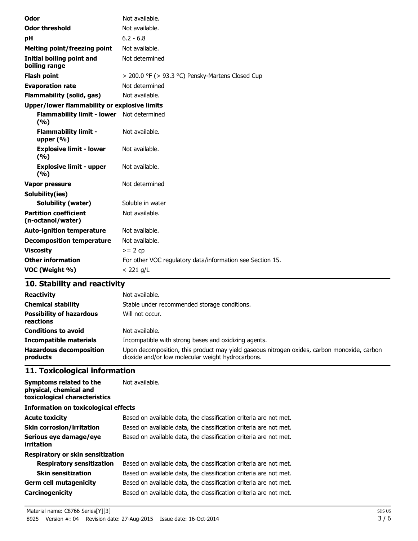| Odor                                               | Not available.                                            |
|----------------------------------------------------|-----------------------------------------------------------|
| <b>Odor threshold</b>                              | Not available.                                            |
| рH                                                 | $6.2 - 6.8$                                               |
| Melting point/freezing point                       | Not available.                                            |
| <b>Initial boiling point and</b><br>boiling range  | Not determined                                            |
| <b>Flash point</b>                                 | > 200.0 °F (> 93.3 °C) Pensky-Martens Closed Cup          |
| <b>Evaporation rate</b>                            | Not determined                                            |
| <b>Flammability (solid, gas)</b>                   | Not available.                                            |
| Upper/lower flammability or explosive limits       |                                                           |
| Flammability limit - lower Not determined<br>(9/6) |                                                           |
| <b>Flammability limit -</b><br>upper $(\% )$       | Not available.                                            |
| <b>Explosive limit - lower</b><br>(%)              | Not available.                                            |
| <b>Explosive limit - upper</b><br>(%)              | Not available.                                            |
| <b>Vapor pressure</b>                              | Not determined                                            |
| Solubility(ies)                                    |                                                           |
| <b>Solubility (water)</b>                          | Soluble in water                                          |
| <b>Partition coefficient</b><br>(n-octanol/water)  | Not available.                                            |
| <b>Auto-ignition temperature</b>                   | Not available.                                            |
| <b>Decomposition temperature</b>                   | Not available.                                            |
| <b>Viscosity</b>                                   | $>= 2 cp$                                                 |
| <b>Other information</b>                           | For other VOC regulatory data/information see Section 15. |
| VOC (Weight %)                                     | $<$ 221 g/L                                               |

# **10. Stability and reactivity**

| <b>Reactivity</b><br><b>Chemical stability</b><br><b>Possibility of hazardous</b><br>reactions | Not available.<br>Stable under recommended storage conditions.<br>Will not occur.                                                                |
|------------------------------------------------------------------------------------------------|--------------------------------------------------------------------------------------------------------------------------------------------------|
| <b>Conditions to avoid</b>                                                                     | Not available.                                                                                                                                   |
| <b>Incompatible materials</b>                                                                  | Incompatible with strong bases and oxidizing agents.                                                                                             |
| <b>Hazardous decomposition</b><br>products                                                     | Upon decomposition, this product may yield gaseous nitrogen oxides, carbon monoxide, carbon<br>dioxide and/or low molecular weight hydrocarbons. |

# **11. Toxicological information**

| Symptoms related to the<br>physical, chemical and<br>toxicological characteristics | Not available.                                                    |  |  |
|------------------------------------------------------------------------------------|-------------------------------------------------------------------|--|--|
| Information on toxicological effects                                               |                                                                   |  |  |
| <b>Acute toxicity</b>                                                              | Based on available data, the classification criteria are not met. |  |  |
| <b>Skin corrosion/irritation</b>                                                   | Based on available data, the classification criteria are not met. |  |  |
| Serious eye damage/eye<br>irritation                                               | Based on available data, the classification criteria are not met. |  |  |
| Respiratory or skin sensitization                                                  |                                                                   |  |  |
| <b>Respiratory sensitization</b>                                                   | Based on available data, the classification criteria are not met. |  |  |
| <b>Skin sensitization</b>                                                          | Based on available data, the classification criteria are not met. |  |  |
| <b>Germ cell mutagenicity</b>                                                      | Based on available data, the classification criteria are not met. |  |  |
| <b>Carcinogenicity</b>                                                             | Based on available data, the classification criteria are not met. |  |  |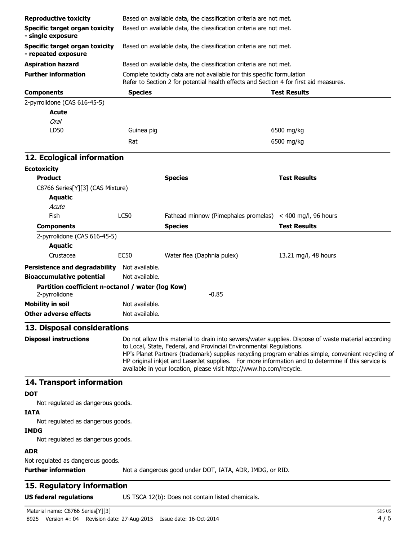| <b>Reproductive toxicity</b>                                       |                                                                                                                                                                                                                                                                                                                                                                                                                                                                | Based on available data, the classification criteria are not met.                                                                                               |                        |
|--------------------------------------------------------------------|----------------------------------------------------------------------------------------------------------------------------------------------------------------------------------------------------------------------------------------------------------------------------------------------------------------------------------------------------------------------------------------------------------------------------------------------------------------|-----------------------------------------------------------------------------------------------------------------------------------------------------------------|------------------------|
| <b>Specific target organ toxicity</b><br>- single exposure         |                                                                                                                                                                                                                                                                                                                                                                                                                                                                | Based on available data, the classification criteria are not met.                                                                                               |                        |
| Specific target organ toxicity<br>- repeated exposure              |                                                                                                                                                                                                                                                                                                                                                                                                                                                                | Based on available data, the classification criteria are not met.                                                                                               |                        |
| <b>Aspiration hazard</b>                                           |                                                                                                                                                                                                                                                                                                                                                                                                                                                                | Based on available data, the classification criteria are not met.                                                                                               |                        |
| <b>Further information</b>                                         |                                                                                                                                                                                                                                                                                                                                                                                                                                                                | Complete toxicity data are not available for this specific formulation<br>Refer to Section 2 for potential health effects and Section 4 for first aid measures. |                        |
| <b>Components</b>                                                  | <b>Species</b>                                                                                                                                                                                                                                                                                                                                                                                                                                                 |                                                                                                                                                                 | <b>Test Results</b>    |
| 2-pyrrolidone (CAS 616-45-5)<br>Acute<br>Oral                      |                                                                                                                                                                                                                                                                                                                                                                                                                                                                |                                                                                                                                                                 |                        |
| LD50                                                               | Guinea pig                                                                                                                                                                                                                                                                                                                                                                                                                                                     |                                                                                                                                                                 | 6500 mg/kg             |
|                                                                    | Rat                                                                                                                                                                                                                                                                                                                                                                                                                                                            |                                                                                                                                                                 | 6500 mg/kg             |
| 12. Ecological information                                         |                                                                                                                                                                                                                                                                                                                                                                                                                                                                |                                                                                                                                                                 |                        |
| <b>Ecotoxicity</b>                                                 |                                                                                                                                                                                                                                                                                                                                                                                                                                                                |                                                                                                                                                                 |                        |
| <b>Product</b>                                                     |                                                                                                                                                                                                                                                                                                                                                                                                                                                                | <b>Species</b>                                                                                                                                                  | <b>Test Results</b>    |
| C8766 Series[Y][3] (CAS Mixture)                                   |                                                                                                                                                                                                                                                                                                                                                                                                                                                                |                                                                                                                                                                 |                        |
| <b>Aquatic</b>                                                     |                                                                                                                                                                                                                                                                                                                                                                                                                                                                |                                                                                                                                                                 |                        |
| Acute                                                              |                                                                                                                                                                                                                                                                                                                                                                                                                                                                |                                                                                                                                                                 |                        |
| Fish                                                               | LC50                                                                                                                                                                                                                                                                                                                                                                                                                                                           | Fathead minnow (Pimephales promelas)                                                                                                                            | $<$ 400 mg/l, 96 hours |
| <b>Components</b>                                                  |                                                                                                                                                                                                                                                                                                                                                                                                                                                                | <b>Species</b>                                                                                                                                                  | <b>Test Results</b>    |
| 2-pyrrolidone (CAS 616-45-5)                                       |                                                                                                                                                                                                                                                                                                                                                                                                                                                                |                                                                                                                                                                 |                        |
| <b>Aquatic</b>                                                     |                                                                                                                                                                                                                                                                                                                                                                                                                                                                |                                                                                                                                                                 |                        |
| Crustacea                                                          | <b>EC50</b>                                                                                                                                                                                                                                                                                                                                                                                                                                                    | Water flea (Daphnia pulex)                                                                                                                                      | 13.21 mg/l, 48 hours   |
| <b>Persistence and degradability</b>                               | Not available.                                                                                                                                                                                                                                                                                                                                                                                                                                                 |                                                                                                                                                                 |                        |
| <b>Bioaccumulative potential</b>                                   | Not available.                                                                                                                                                                                                                                                                                                                                                                                                                                                 |                                                                                                                                                                 |                        |
| Partition coefficient n-octanol / water (log Kow)<br>2-pyrrolidone |                                                                                                                                                                                                                                                                                                                                                                                                                                                                | $-0.85$                                                                                                                                                         |                        |
| <b>Mobility in soil</b>                                            | Not available.                                                                                                                                                                                                                                                                                                                                                                                                                                                 |                                                                                                                                                                 |                        |
| <b>Other adverse effects</b>                                       | Not available.                                                                                                                                                                                                                                                                                                                                                                                                                                                 |                                                                                                                                                                 |                        |
| 13. Disposal considerations                                        |                                                                                                                                                                                                                                                                                                                                                                                                                                                                |                                                                                                                                                                 |                        |
| <b>Disposal instructions</b>                                       | Do not allow this material to drain into sewers/water supplies. Dispose of waste material according<br>to Local, State, Federal, and Provincial Environmental Regulations.<br>HP's Planet Partners (trademark) supplies recycling program enables simple, convenient recycling of<br>HP original inkjet and LaserJet supplies. For more information and to determine if this service is<br>available in your location, please visit http://www.hp.com/recycle. |                                                                                                                                                                 |                        |
| 14. Transport information                                          |                                                                                                                                                                                                                                                                                                                                                                                                                                                                |                                                                                                                                                                 |                        |
| <b>DOT</b><br>Not regulated as dangerous goods.                    |                                                                                                                                                                                                                                                                                                                                                                                                                                                                |                                                                                                                                                                 |                        |
| <b>IATA</b>                                                        |                                                                                                                                                                                                                                                                                                                                                                                                                                                                |                                                                                                                                                                 |                        |
| Not regulated as dangerous goods.<br><b>IMDG</b>                   |                                                                                                                                                                                                                                                                                                                                                                                                                                                                |                                                                                                                                                                 |                        |
| Not regulated as dangerous goods.<br><b>ADR</b>                    |                                                                                                                                                                                                                                                                                                                                                                                                                                                                |                                                                                                                                                                 |                        |
| Not regulated as dangerous goods.<br><b>Further information</b>    |                                                                                                                                                                                                                                                                                                                                                                                                                                                                | Not a dangerous good under DOT, IATA, ADR, IMDG, or RID.                                                                                                        |                        |
| 15. Regulatory information                                         |                                                                                                                                                                                                                                                                                                                                                                                                                                                                |                                                                                                                                                                 |                        |

**US federal regulations** US TSCA 12(b): Does not contain listed chemicals.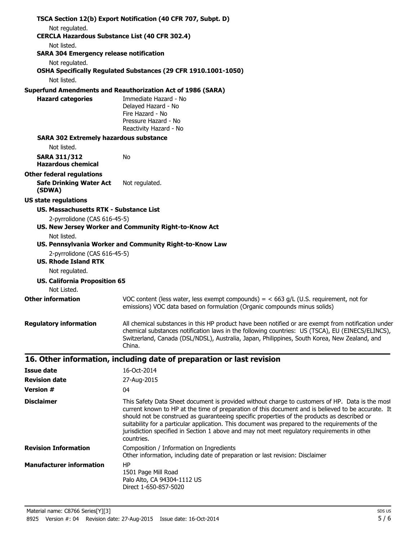|                                                                              | TSCA Section 12(b) Export Notification (40 CFR 707, Subpt. D)                                                                                                                                                                                                                                                                                                                                                                                                                                                        |  |
|------------------------------------------------------------------------------|----------------------------------------------------------------------------------------------------------------------------------------------------------------------------------------------------------------------------------------------------------------------------------------------------------------------------------------------------------------------------------------------------------------------------------------------------------------------------------------------------------------------|--|
| Not regulated.                                                               |                                                                                                                                                                                                                                                                                                                                                                                                                                                                                                                      |  |
| <b>CERCLA Hazardous Substance List (40 CFR 302.4)</b>                        |                                                                                                                                                                                                                                                                                                                                                                                                                                                                                                                      |  |
| Not listed.<br><b>SARA 304 Emergency release notification</b>                |                                                                                                                                                                                                                                                                                                                                                                                                                                                                                                                      |  |
| Not regulated.                                                               |                                                                                                                                                                                                                                                                                                                                                                                                                                                                                                                      |  |
|                                                                              | OSHA Specifically Regulated Substances (29 CFR 1910.1001-1050)                                                                                                                                                                                                                                                                                                                                                                                                                                                       |  |
| Not listed.                                                                  |                                                                                                                                                                                                                                                                                                                                                                                                                                                                                                                      |  |
|                                                                              | <b>Superfund Amendments and Reauthorization Act of 1986 (SARA)</b>                                                                                                                                                                                                                                                                                                                                                                                                                                                   |  |
| <b>Hazard categories</b>                                                     | Immediate Hazard - No<br>Delayed Hazard - No<br>Fire Hazard - No<br>Pressure Hazard - No                                                                                                                                                                                                                                                                                                                                                                                                                             |  |
|                                                                              | Reactivity Hazard - No                                                                                                                                                                                                                                                                                                                                                                                                                                                                                               |  |
| <b>SARA 302 Extremely hazardous substance</b><br>Not listed.                 |                                                                                                                                                                                                                                                                                                                                                                                                                                                                                                                      |  |
| <b>SARA 311/312</b><br><b>Hazardous chemical</b>                             | No                                                                                                                                                                                                                                                                                                                                                                                                                                                                                                                   |  |
| <b>Other federal regulations</b><br><b>Safe Drinking Water Act</b><br>(SDWA) | Not regulated.                                                                                                                                                                                                                                                                                                                                                                                                                                                                                                       |  |
| <b>US state regulations</b>                                                  |                                                                                                                                                                                                                                                                                                                                                                                                                                                                                                                      |  |
| <b>US. Massachusetts RTK - Substance List</b>                                |                                                                                                                                                                                                                                                                                                                                                                                                                                                                                                                      |  |
| 2-pyrrolidone (CAS 616-45-5)                                                 | US. New Jersey Worker and Community Right-to-Know Act                                                                                                                                                                                                                                                                                                                                                                                                                                                                |  |
| Not listed.                                                                  |                                                                                                                                                                                                                                                                                                                                                                                                                                                                                                                      |  |
|                                                                              | US. Pennsylvania Worker and Community Right-to-Know Law                                                                                                                                                                                                                                                                                                                                                                                                                                                              |  |
| 2-pyrrolidone (CAS 616-45-5)<br><b>US. Rhode Island RTK</b>                  |                                                                                                                                                                                                                                                                                                                                                                                                                                                                                                                      |  |
| Not regulated.                                                               |                                                                                                                                                                                                                                                                                                                                                                                                                                                                                                                      |  |
| <b>US. California Proposition 65</b><br>Not Listed.                          |                                                                                                                                                                                                                                                                                                                                                                                                                                                                                                                      |  |
| <b>Other information</b>                                                     | VOC content (less water, less exempt compounds) = $<$ 663 g/L (U.S. requirement, not for<br>emissions) VOC data based on formulation (Organic compounds minus solids)                                                                                                                                                                                                                                                                                                                                                |  |
| <b>Regulatory information</b>                                                | All chemical substances in this HP product have been notified or are exempt from notification under<br>chemical substances notification laws in the following countries: US (TSCA), EU (EINECS/ELINCS),<br>Switzerland, Canada (DSL/NDSL), Australia, Japan, Philippines, South Korea, New Zealand, and<br>China.                                                                                                                                                                                                    |  |
|                                                                              | 16. Other information, including date of preparation or last revision                                                                                                                                                                                                                                                                                                                                                                                                                                                |  |
| <b>Issue date</b>                                                            | 16-Oct-2014                                                                                                                                                                                                                                                                                                                                                                                                                                                                                                          |  |
| <b>Revision date</b>                                                         | 27-Aug-2015                                                                                                                                                                                                                                                                                                                                                                                                                                                                                                          |  |
| <b>Version #</b>                                                             | 04                                                                                                                                                                                                                                                                                                                                                                                                                                                                                                                   |  |
| <b>Disclaimer</b>                                                            | This Safety Data Sheet document is provided without charge to customers of HP. Data is the most<br>current known to HP at the time of preparation of this document and is believed to be accurate. It<br>should not be construed as guaranteeing specific properties of the products as described or<br>suitability for a particular application. This document was prepared to the requirements of the<br>jurisdiction specified in Section 1 above and may not meet regulatory requirements in other<br>countries. |  |
| <b>Revision Information</b>                                                  | Composition / Information on Ingredients<br>Other information, including date of preparation or last revision: Disclaimer                                                                                                                                                                                                                                                                                                                                                                                            |  |
| <b>Manufacturer information</b>                                              | HP<br>1501 Page Mill Road                                                                                                                                                                                                                                                                                                                                                                                                                                                                                            |  |

Palo Alto, CA 94304-1112 US Direct 1-650-857-5020